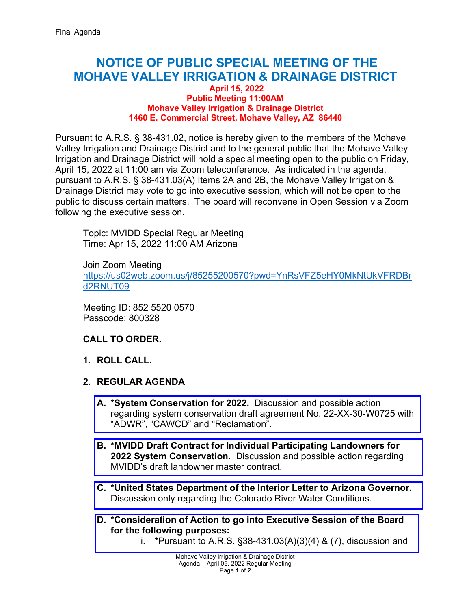## **NOTICE OF PUBLIC SPECIAL MEETING OF THE MOHAVE VALLEY IRRIGATION & DRAINAGE DISTRICT**

## **April 15, 2022 Public Meeting 11:00AM Mohave Valley Irrigation & Drainage District 1460 E. Commercial Street, Mohave Valley, AZ 86440**

Pursuant to A.R.S. § 38-431.02, notice is hereby given to the members of the Mohave Valley Irrigation and Drainage District and to the general public that the Mohave Valley Irrigation and Drainage District will hold a special meeting open to the public on Friday, April 15, 2022 at 11:00 am via Zoom teleconference. As indicated in the agenda, pursuant to A.R.S. § 38-431.03(A) Items 2A and 2B, the Mohave Valley Irrigation & Drainage District may vote to go into executive session, which will not be open to the public to discuss certain matters. The board will reconvene in Open Session via Zoom following the executive session.

Topic: MVIDD Special Regular Meeting Time: Apr 15, 2022 11:00 AM Arizona

Join Zoom Meeting [https://us02web.zoom.us/j/85255200570?pwd=YnRsVFZ5eHY0MkNtUkVFRDBr](https://us02web.zoom.us/j/85255200570?pwd=YnRsVFZ5eHY0MkNtUkVFRDBrd2RNUT09) [d2RNUT09](https://us02web.zoom.us/j/85255200570?pwd=YnRsVFZ5eHY0MkNtUkVFRDBrd2RNUT09)

Meeting ID: 852 5520 0570 Passcode: 800328

## **CALL TO ORDER.**

- **1. ROLL CALL.**
- **2. REGULAR AGENDA**
	- **A. \*System Conservation for 2022.** Discussion and possible action regarding [system conservation draft agreement No. 22-XX-30-W0725 with](https://mvidd.net/wp-content/uploads/2022/04/2022-04-15-Regular-Board-Action-Form-Item-2A-2022-03-01-System-Conservation-for-2022.pdf)  "ADWR", "CAWCD" and "Reclamation".
	- **B. \*MVIDD Draft Contract for Individual Participating Landowners for 2022 System Conservation.** Discussion and possible action regarding [MVIDD's draft landowner master contract.](https://mvidd.net/wp-content/uploads/2022/04/2022-04-15-Regular-Board-Action-Form-Item-2B-MVIDD-Draft-Contract-for-2022-System-Conservation.pdf)
	- **C. \*United States Department of the Interior Letter to Arizona Governor.**  [Discussion only regarding the Colorado River Water Conditions.](https://mvidd.net/wp-content/uploads/2022/04/2022-04-15-Regular-Board-Action-Form-Item-2C-United-States-Dept-of-Interior-Letter.pdf)
	- **D. [\\*Consideration of Action to go into Executive Session of the Board](https://mvidd.net/wp-content/uploads/2022/04/2022-04-15-Regular-Board-Action-Form-Item-2D-Executive-Session.pdf)  for the following purposes:**
		- i. **\***Pursuant to A.R.S. §38-431.03(A)(3)(4) & (7), discussion and